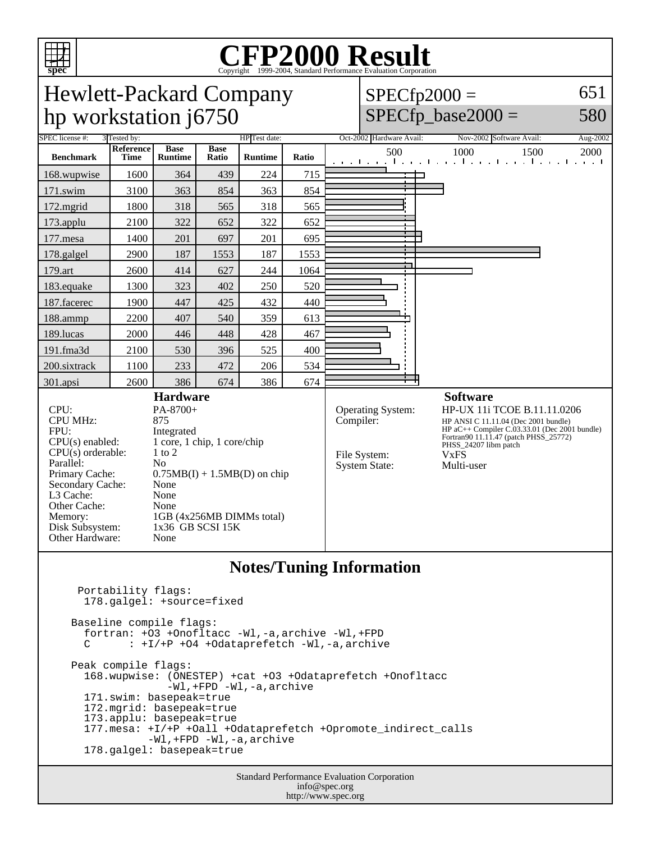

# Copyright ©1999-2004, Standard Performance Evaluation Corporation

Hewlett-Packard Company hp workstation j6750  $SPECfp2000 =$  $SPECfp\_base2000 =$ SPEC license #: 3 Tested by: HP Test date: Oct-2002 Hardware Avail: Nov-2002 Software Avail: Aug-2002 **Benchmark Reference Time Base Runtime Base Ratio Runtime Ratio** 500 1000 1500 2000 168.wupwise 1600 364 439 224 715 171.swim | 3100 | 363 | 854 | 363 | 854 172.mgrid | 1800 | 318 | 565 | 318 | 565 173.applu | 2100 | 322 | 652 | 322 | 652 177.mesa | 1400 | 201 | 697 | 201 | 695 178.galgel | 2900 | 187 | 1553 | 187 | 1553 179.art | 2600 | 414 | 627 | 244 | 1064 183.equake 1300 323 402 250 520 187.facerec | 1900 447 425 432 440 188.ammp | 2200 | 407 | 540 | 359 | 613 189.lucas | 2000 | 446 | 448 | 428 | 467 191.fma3d 2100 530 396 525 400 200.sixtrack 1100 233 472 206 534

CPU: PA-8700+<br>CPU MHz: 875 CPU MHz: FPU: Integrated<br>CPU(s) enabled: 1 core, 1 c  $CPU(s)$  orderable: Parallel: No<br>Primary Cache: 0.7 Secondary Cache: None L3 Cache: None Other Cache: None Disk Subsystem: 1x36 GB SCSI 15K Other Hardware: None

301.apsi 2600 386 674 386 674 **Hardware** 1 core, 1 chip, 1 core/chip<br>1 to 2  $0.75MB(I) + 1.5MB(D)$  on chip Memory: 1GB (4x256MB DIMMs total) File System: VxFS<br>System State: Multi-user System State:

#### **Software**

Operating System: HP-UX 11i TCOE B.11.11.0206<br>Compiler: HP ANSI C 11.11.04 (Dec 2001 bundle) HP ANSI C 11.11.04 (Dec 2001 bundle) HP aC++ Compiler C.03.33.01 (Dec 2001 bundle) Fortran90 11.11.47 (patch PHSS\_25772) PHSS\_24207 libm patch

651

580

### **Notes/Tuning Information**

 Portability flags: 178.galgel: +source=fixed Baseline compile flags: fortran: +O3 +Onofltacc -Wl,-a,archive -Wl,+FPD C : +I/+P +O4 +Odataprefetch -Wl,-a,archive Peak compile flags: 168.wupwise: (ONESTEP) +cat +O3 +Odataprefetch +Onofltacc -Wl,+FPD -Wl,-a,archive 171.swim: basepeak=true 172.mgrid: basepeak=true 173.applu: basepeak=true 177.mesa: +I/+P +Oall +Odataprefetch +Opromote\_indirect\_calls -Wl,+FPD -Wl,-a,archive 178.galgel: basepeak=true

> Standard Performance Evaluation Corporation info@spec.org http://www.spec.org